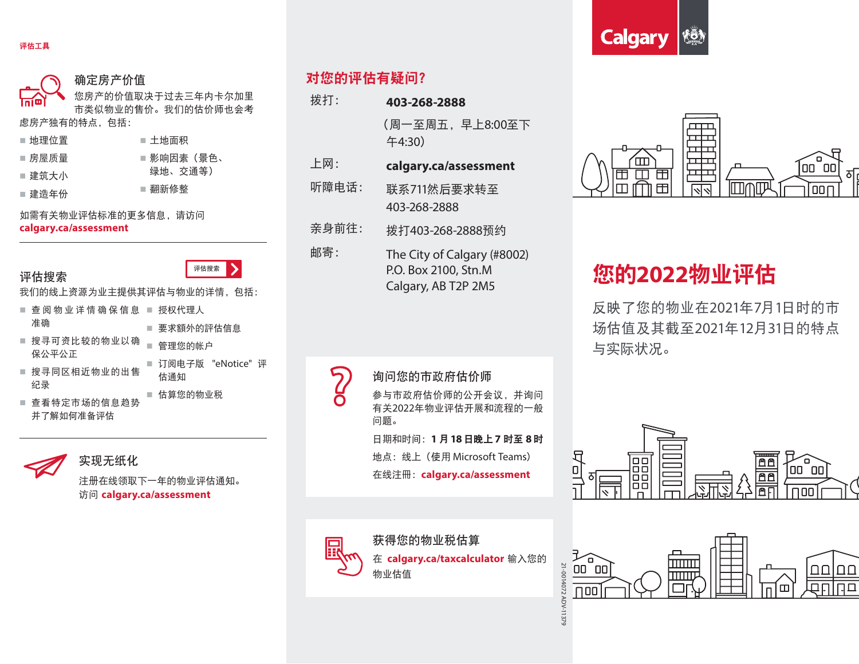



- 搜寻同区相近物业的出售 纪录 估通知 ■ 估算您的物业税
- 查看特定市场的信息趋势 并了解如何准备评估



实现无纸化 注册在线领取下一年的物业评估通知。 访问 **calgary.ca/assessment**

## 对您的评估有疑问?

- 拨打: **403-268-2888**
	- (周一至周五,早上8:00至下 午4:30)
- 上网: **calgary.ca/assessment**
- 听障电话: 联系711然后要求转至 403-268-2888
- 亲身前往: 拨打403-268-2888预约
- 邮寄: The City of Calgary (#8002) P.O. Box 2100, Stn.M Calgary, AB T2P 2M5

#### 询问您的市政府估价师

参与市政府估价师的公开会议,并询问 有关2022年物业评估开展和流程的一般 问题。

日期和时间:**1** 月 **18** 日晚上 **7** 时至 **8** 时

地点:线上(使用 Microsoft Teams)

在线注冊:**calgary.ca/assessment**



**2** 

### 获得您的物业税估算 在 **calgary.ca/taxcalculator** 输入您的

物业估值



# 您的**2022**物业评估

反映了您的物业在2021年7月1日时的市 场估值及其截至2021年12月31日的特点 与实际状况。